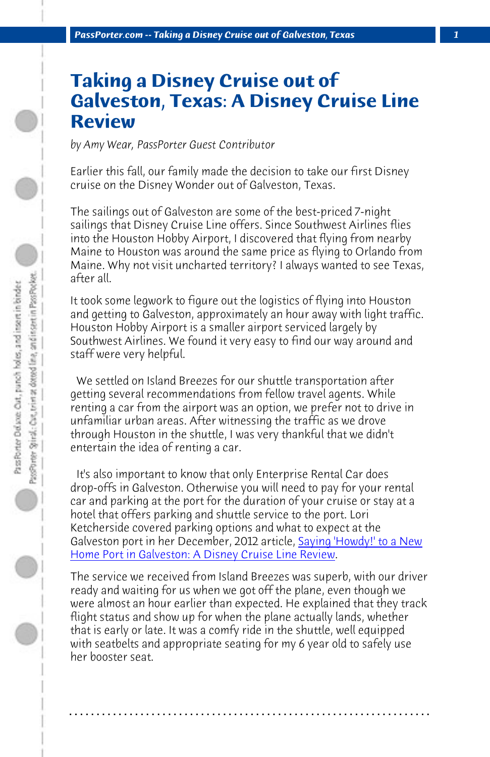*PassPorter.com -- Taking a Disney Cruise out of Galveston, Texas 1*

## **Taking a Disney Cruise out of Galveston, Texas: A Disney Cruise Line Review**

*by Amy Wear, PassPorter Guest Contributor*

Earlier this fall, our family made the decision to take our first Disney cruise on the Disney Wonder out of Galveston, Texas.

The sailings out of Galveston are some of the best-priced 7-night sailings that Disney Cruise Line offers. Since Southwest Airlines flies into the Houston Hobby Airport, I discovered that flying from nearby Maine to Houston was around the same price as flying to Orlando from Maine. Why not visit uncharted territory? I always wanted to see Texas, after all.

It took some legwork to figure out the logistics of flying into Houston and getting to Galveston, approximately an h[our away with light traffic.](http://www.passporter.com/articles/disney-cruise-galveston-port.php) [Houston Hobby Airport is a smaller airport serviced la](http://www.passporter.com/articles/disney-cruise-galveston-port.php)rgely by Southwest Airlines. We found it very easy to find our way around and staff were very helpful.

 We settled on Island Breezes for our shuttle transportation after getting several recommendations from fellow travel agents. While renting a car from the airport was an option, we prefer not to drive in unfamiliar urban areas. After witnessing the traffic as we drove through Houston in the shuttle, I was very thankful that we didn't entertain the idea of renting a car.

 It's also important to know that only Enterprise Rental Car does drop-offs in Galveston. Otherwise you will need to pay for your rental car and parking at the port for the duration of your cruise or stay at a hotel that offers parking and shuttle service to the port. Lori Ketcherside covered parking options and what to expect at the Galveston port in her December, 2012 article, Saying 'Howdy!' to a New Home Port in Galveston: A Disney Cruise Line Review.

The service we received from Island Breezes was superb, with our driver ready and waiting for us when we got off the plane, even though we were almost an hour earlier than expected. He explained that they track flight status and show up for when the plane actually lands, whether that is early or late. It was a comfy ride in the shuttle, well equipped with seatbelts and appropriate seating for my 6 year old to safely use her booster seat.

**. . . . . . . . . . . . . . . . . . . . . . . . . . . . . . . . . . . . . . . . . . . . . . . . . . . . . . . . . . . . . . . . . .**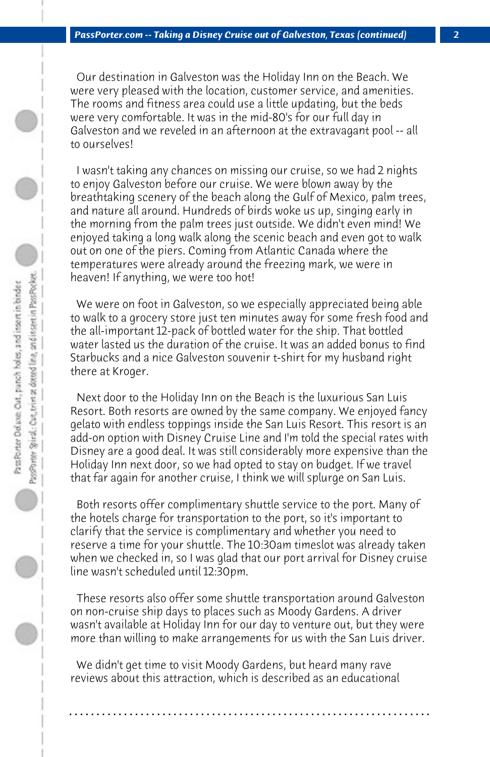Our destination in Galveston was the Holiday Inn on the Beach. We were very pleased with the location, customer service, and amenities. The rooms and fitness area could use a little updating, but the beds were very comfortable. It was in the mid-80's for our full day in Galveston and we reveled in an afternoon at the extravagant pool -- all to ourselves!

 I wasn't taking any chances on missing our cruise, so we had 2 nights to enjoy Galveston before our cruise. We were blown away by the breathtaking scenery of the beach along the Gulf of Mexico, palm trees, and nature all around. Hundreds of birds woke us up, singing early in the morning from the palm trees just outside. We didn't even mind! We enjoyed taking a long walk along the scenic beach and even got to walk out on one of the piers. Coming from Atlantic Canada where the temperatures were already around the freezing mark, we were in heaven! If anything, we were too hot!

 We were on foot in Galveston, so we especially appreciated being able to walk to a grocery store just ten minutes away for some fresh food and the all-important 12-pack of bottled water for the ship. That bottled water lasted us the duration of the cruise. It was an added bonus to find Starbucks and a nice Galveston souvenir t-shirt for my husband right there at Kroger.

 Next door to the Holiday Inn on the Beach is the luxurious San Luis Resort. Both resorts are owned by the same company. We enjoyed fancy gelato with endless toppings inside the San Luis Resort. This resort is an add-on option with Disney Cruise Line and I'm told the special rates with Disney are a good deal. It was still considerably more expensive than the Holiday Inn next door, so we had opted to stay on budget. If we travel that far again for another cruise, I think we will splurge on San Luis.

 Both resorts offer complimentary shuttle service to the port. Many of the hotels charge for transportation to the port, so it's important to clarify that the service is complimentary and whether you need to reserve a time for your shuttle. The 10:30am timeslot was already taken when we checked in, so I was glad that our port arrival for Disney cruise line wasn't scheduled until 12:30pm.

 These resorts also offer some shuttle transportation around Galveston on non-cruise ship days to places such as Moody Gardens. A driver wasn't available at Holiday Inn for our day to venture out, but they were more than willing to make arrangements for us with the San Luis driver.

**. . . . . . . . . . . . . . . . . . . . . . . . . . . . . . . . . . . . . . . . . . . . . . . . . . . . . . . . . . . . . . . . . .**

 We didn't get time to visit Moody Gardens, but heard many rave reviews about this attraction, which is described as an educational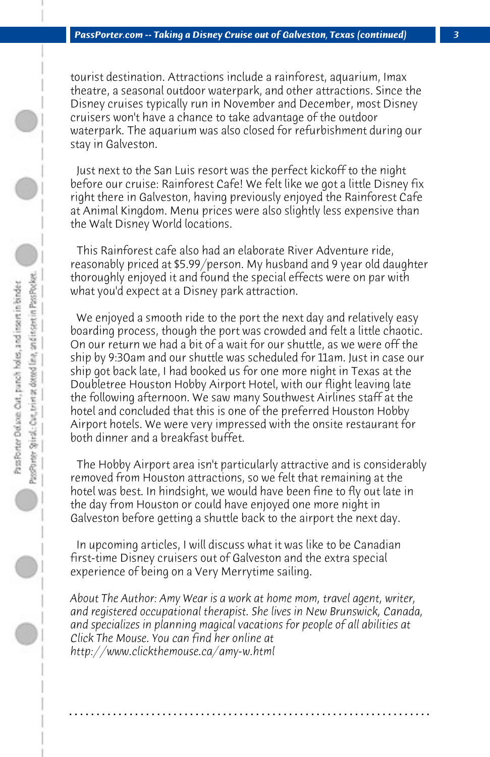tourist destination. Attractions include a rainforest, aquarium, Imax theatre, a seasonal outdoor waterpark, and other attractions. Since the Disney cruises typically run in November and December, most Disney cruisers won't have a chance to take advantage of the outdoor waterpark. The aquarium was also closed for refurbishment during our stay in Galveston.

 Just next to the San Luis resort was the perfect kickoff to the night before our cruise: Rainforest Cafe! We felt like we got a little Disney fix right there in Galveston, having previously enjoyed the Rainforest Cafe at Animal Kingdom. Menu prices were also slightly less expensive than the Walt Disney World locations.

 This Rainforest cafe also had an elaborate River Adventure ride, reasonably priced at \$5.99/person. My husband and 9 year old daughter thoroughly enjoyed it and found the special effects were on par with what you'd expect at a Disney park attraction.

 We enjoyed a smooth ride to the port the next day and relatively easy boarding process, though the port was crowded and felt a little chaotic. On our return we had a bit of a wait for our shuttle, as we were off the ship by 9:30am and our shuttle was scheduled for 11am. Just in case our ship got back late, I had booked us for one more night in Texas at the Doubletree Houston Hobby Airport Hotel, with our flight leaving late the following afternoon. We saw many Southwest Airlines staff at the hotel and concluded that this is one of the preferred Houston Hobby Airport hotels. We were very impressed with the onsite restaurant for both dinner and a breakfast buffet.

 The Hobby Airport area isn't particularly attractive and is considerably removed from Houston attractions, so we felt that remaining at the hotel was best. In hindsight, we would have been fine to fly out late in the day from Houston or could have enjoyed one more night in Galveston before getting a shuttle back to the airport the next day.

 In upcoming articles, I will discuss what it was like to be Canadian first-time Disney cruisers out of Galveston and the extra special experience of being on a Very Merrytime sailing.

*About The Author: Amy Wear is a work at home mom, travel agent, writer, and registered occupational therapist. She lives in New Brunswick, Canada, and specializes in planning magical vacations for people of all abilities at Click The Mouse. You can find her online at http://www.clickthemouse.ca/amy-w.html*

**. . . . . . . . . . . . . . . . . . . . . . . . . . . . . . . . . . . . . . . . . . . . . . . . . . . . . . . . . . . . . . . . . .**